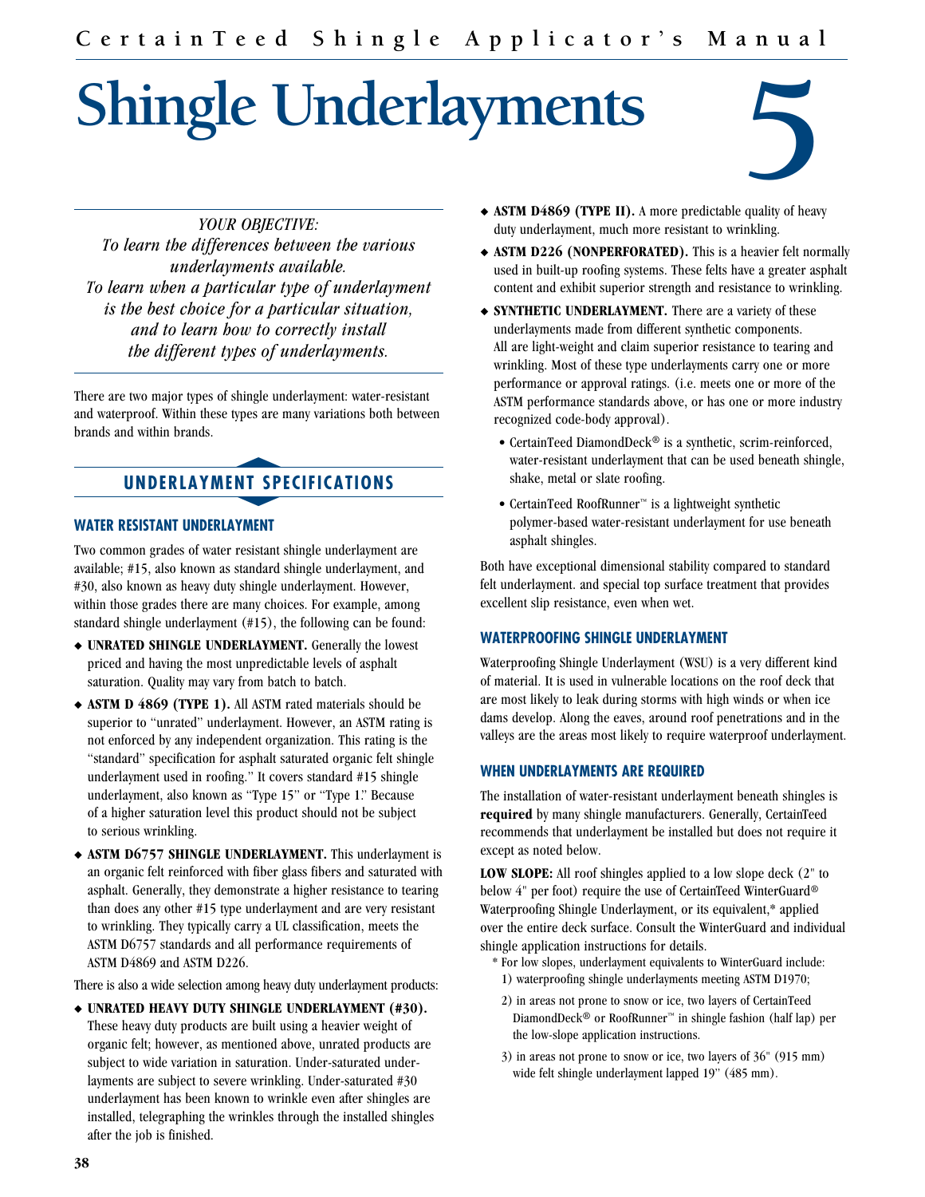# **Shingle Underlayments**



*YOUR OBJECTIVE: To learn the differences between the various underlayments available. To learn when a particular type of underlayment is the best choice for a particular situation, and to learn how to correctly install the different types of underlayments.*

There are two major types of shingle underlayment: water-resistant and waterproof. Within these types are many variations both between brands and within brands. s

## **UNDERLAYMENT SPECIFICATIONS** NT SP

#### **WATER RESISTANT UNDERLAYMENT**

Two common grades of water resistant shingle underlayment are available; #15, also known as standard shingle underlayment, and #30, also known as heavy duty shingle underlayment. However, within those grades there are many choices. For example, among standard shingle underlayment (#15), the following can be found:

- $\rightarrow$  **UNRATED SHINGLE UNDERLAYMENT.** Generally the lowest priced and having the most unpredictable levels of asphalt saturation. Quality may vary from batch to batch.
- u **ASTM D 4869 (TYPE 1).** All ASTM rated materials should be superior to "unrated" underlayment. However, an ASTM rating is not enforced by any independent organization. This rating is the "standard" specification for asphalt saturated organic felt shingle underlayment used in roofing." It covers standard #15 shingle underlayment, also known as "Type 15" or "Type 1." Because of a higher saturation level this product should not be subject to serious wrinkling.
- ASTM D6757 SHINGLE UNDERLAYMENT. This underlayment is an organic felt reinforced with fiber glass fibers and saturated with asphalt. Generally, they demonstrate a higher resistance to tearing than does any other #15 type underlayment and are very resistant to wrinkling. They typically carry a UL classification, meets the ASTM D6757 standards and all performance requirements of ASTM D4869 and ASTM D226.

There is also a wide selection among heavy duty underlayment products:

 $\bullet$  **UNRATED HEAVY DUTY SHINGLE UNDERLAYMENT (#30).** These heavy duty products are built using a heavier weight of organic felt; however, as mentioned above, unrated products are subject to wide variation in saturation. Under-saturated underlayments are subject to severe wrinkling. Under-saturated #30 underlayment has been known to wrinkle even after shingles are installed, telegraphing the wrinkles through the installed shingles after the job is finished.

- **ASTM D4869 (TYPE II).** A more predictable quality of heavy duty underlayment, much more resistant to wrinkling.
- ◆ ASTM D226 (NONPERFORATED). This is a heavier felt normally used in built-up roofing systems. These felts have a greater asphalt content and exhibit superior strength and resistance to wrinkling.
- **SYNTHETIC UNDERLAYMENT.** There are a variety of these underlayments made from different synthetic components. All are light-weight and claim superior resistance to tearing and wrinkling. Most of these type underlayments carry one or more performance or approval ratings. (i.e. meets one or more of the ASTM performance standards above, or has one or more industry recognized code-body approval).
	- CertainTeed DiamondDeck® is a synthetic, scrim-reinforced, water-resistant underlayment that can be used beneath shingle, shake, metal or slate roofing.
	- CertainTeed RoofRunner™ is a lightweight synthetic polymer-based water-resistant underlayment for use beneath asphalt shingles.

Both have exceptional dimensional stability compared to standard felt underlayment. and special top surface treatment that provides excellent slip resistance, even when wet.

#### **WATERPROOFING SHINGLE UNDERLAYMENT**

Waterproofing Shingle Underlayment (WSU) is a very different kind of material. It is used in vulnerable locations on the roof deck that are most likely to leak during storms with high winds or when ice dams develop. Along the eaves, around roof penetrations and in the valleys are the areas most likely to require waterproof underlayment.

#### **WHEN UNDERLAYMENTS ARE REQUIRED**

The installation of water-resistant underlayment beneath shingles is **required** by many shingle manufacturers. Generally, CertainTeed recommends that underlayment be installed but does not require it except as noted below.

**LOW SLOPE:** All roof shingles applied to a low slope deck (2" to below 4" per foot) require the use of CertainTeed WinterGuard® Waterproofing Shingle Underlayment, or its equivalent,\* applied over the entire deck surface. Consult the WinterGuard and individual shingle application instructions for details.

- \* For low slopes, underlayment equivalents to WinterGuard include: 1) waterproofing shingle underlayments meeting ASTM D1970;
- 2) in areas not prone to snow or ice, two layers of CertainTeed DiamondDeck® or RoofRunner™ in shingle fashion (half lap) per the low-slope application instructions.
- 3) in areas not prone to snow or ice, two layers of 36" (915 mm) wide felt shingle underlayment lapped 19" (485 mm).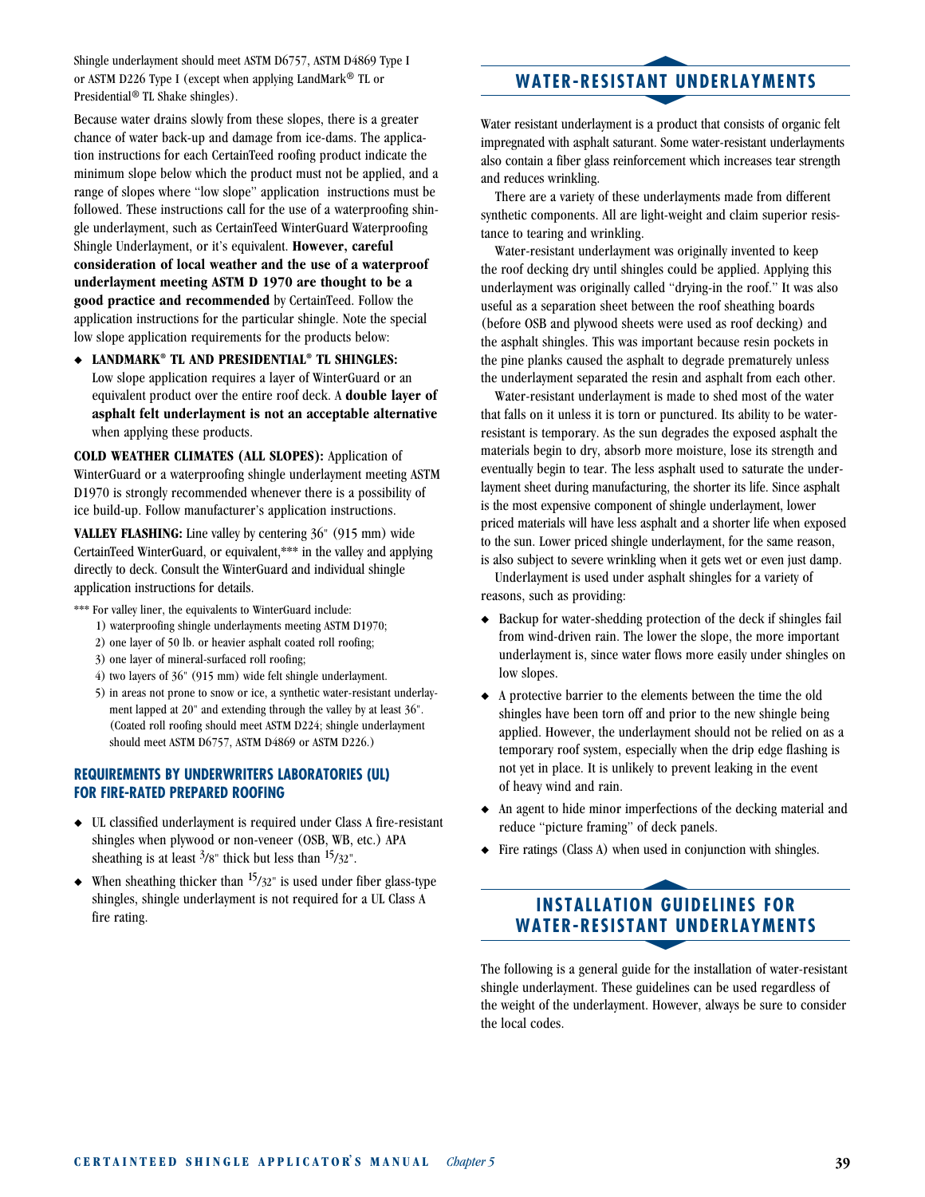Shingle underlayment should meet ASTM D6757, ASTM D4869 Type I or ASTM D226 Type I (except when applying LandMark® TL or Presidential® TL Shake shingles).

Because water drains slowly from these slopes, there is a greater chance of water back-up and damage from ice-dams. The application instructions for each CertainTeed roofing product indicate the minimum slope below which the product must not be applied, and a range of slopes where "low slope" application instructions must be followed. These instructions call for the use of a waterproofing shingle underlayment, such as CertainTeed WinterGuard Waterproofing Shingle Underlayment, or it's equivalent. **However, careful consideration of local weather and the use of a waterproof underlayment meeting ASTM D 1970 are thought to be a good practice and recommended** by CertainTeed. Follow the application instructions for the particular shingle. Note the special low slope application requirements for the products below:

 $\triangle$  LANDMARK<sup>®</sup> TL AND PRESIDENTIAL<sup>®</sup> TL SHINGLES: Low slope application requires a layer of WinterGuard or an equivalent product over the entire roof deck. A **double layer of asphalt felt underlayment is not an acceptable alternative** when applying these products.

**COLD WEATHER CLIMATES (ALL SLOPES):** Application of WinterGuard or a waterproofing shingle underlayment meeting ASTM D1970 is strongly recommended whenever there is a possibility of ice build-up. Follow manufacturer's application instructions.

**VALLEY FLASHING:** Line valley by centering 36" (915 mm) wide CertainTeed WinterGuard, or equivalent,\*\*\* in the valley and applying directly to deck. Consult the WinterGuard and individual shingle application instructions for details.

\*\*\* For valley liner, the equivalents to WinterGuard include:

- 1) waterproofing shingle underlayments meeting ASTM D1970;
- 2) one layer of 50 lb. or heavier asphalt coated roll roofing;
- 3) one layer of mineral-surfaced roll roofing;
- 4) two layers of 36" (915 mm) wide felt shingle underlayment.
- 5) in areas not prone to snow or ice, a synthetic water-resistant underlayment lapped at 20" and extending through the valley by at least 36". (Coated roll roofing should meet ASTM D224; shingle underlayment should meet ASTM D6757, ASTM D4869 or ASTM D226.)

#### **REQUIREMENTS BY UNDERWRITERS LABORATORIES (UL) FOR FIRE-RATED PREPARED ROOFING**

- $\triangleq$  UL classified underlayment is required under Class A fire-resistant shingles when plywood or non-veneer (OSB, WB, etc.) APA sheathing is at least  $3/8$ " thick but less than  $15/32$ ".
- $\blacklozenge$  When sheathing thicker than  $\frac{15}{32}$ " is used under fiber glass-type shingles, shingle underlayment is not required for a UL Class A fire rating.

## s **WATER-RESISTANT UNDERLAYMENTS** ANT UI

Water resistant underlayment is a product that consists of organic felt impregnated with asphalt saturant. Some water-resistant underlayments also contain a fiber glass reinforcement which increases tear strength and reduces wrinkling.

There are a variety of these underlayments made from different synthetic components. All are light-weight and claim superior resistance to tearing and wrinkling.

Water-resistant underlayment was originally invented to keep the roof decking dry until shingles could be applied. Applying this underlayment was originally called "drying-in the roof." It was also useful as a separation sheet between the roof sheathing boards (before OSB and plywood sheets were used as roof decking) and the asphalt shingles. This was important because resin pockets in the pine planks caused the asphalt to degrade prematurely unless the underlayment separated the resin and asphalt from each other.

Water-resistant underlayment is made to shed most of the water that falls on it unless it is torn or punctured. Its ability to be waterresistant is temporary. As the sun degrades the exposed asphalt the materials begin to dry, absorb more moisture, lose its strength and eventually begin to tear. The less asphalt used to saturate the underlayment sheet during manufacturing, the shorter its life. Since asphalt is the most expensive component of shingle underlayment, lower priced materials will have less asphalt and a shorter life when exposed to the sun. Lower priced shingle underlayment, for the same reason, is also subject to severe wrinkling when it gets wet or even just damp.

Underlayment is used under asphalt shingles for a variety of reasons, such as providing:

- $\triangle$  Backup for water-shedding protection of the deck if shingles fail from wind-driven rain. The lower the slope, the more important underlayment is, since water flows more easily under shingles on low slopes.
- $\bullet$  A protective barrier to the elements between the time the old shingles have been torn off and prior to the new shingle being applied. However, the underlayment should not be relied on as a temporary roof system, especially when the drip edge flashing is not yet in place. It is unlikely to prevent leaking in the event of heavy wind and rain.
- $\bullet$  An agent to hide minor imperfections of the decking material and reduce "picture framing" of deck panels.
- Fire ratings (Class A) when used in conjunction with shingles.

#### **INSTALLATION GUIDELINES FOR WATER-RESISTANT UNDERLAYMENTS** n Gui<br>Ant Ul

The following is a general guide for the installation of water-resistant shingle underlayment. These guidelines can be used regardless of the weight of the underlayment. However, always be sure to consider the local codes.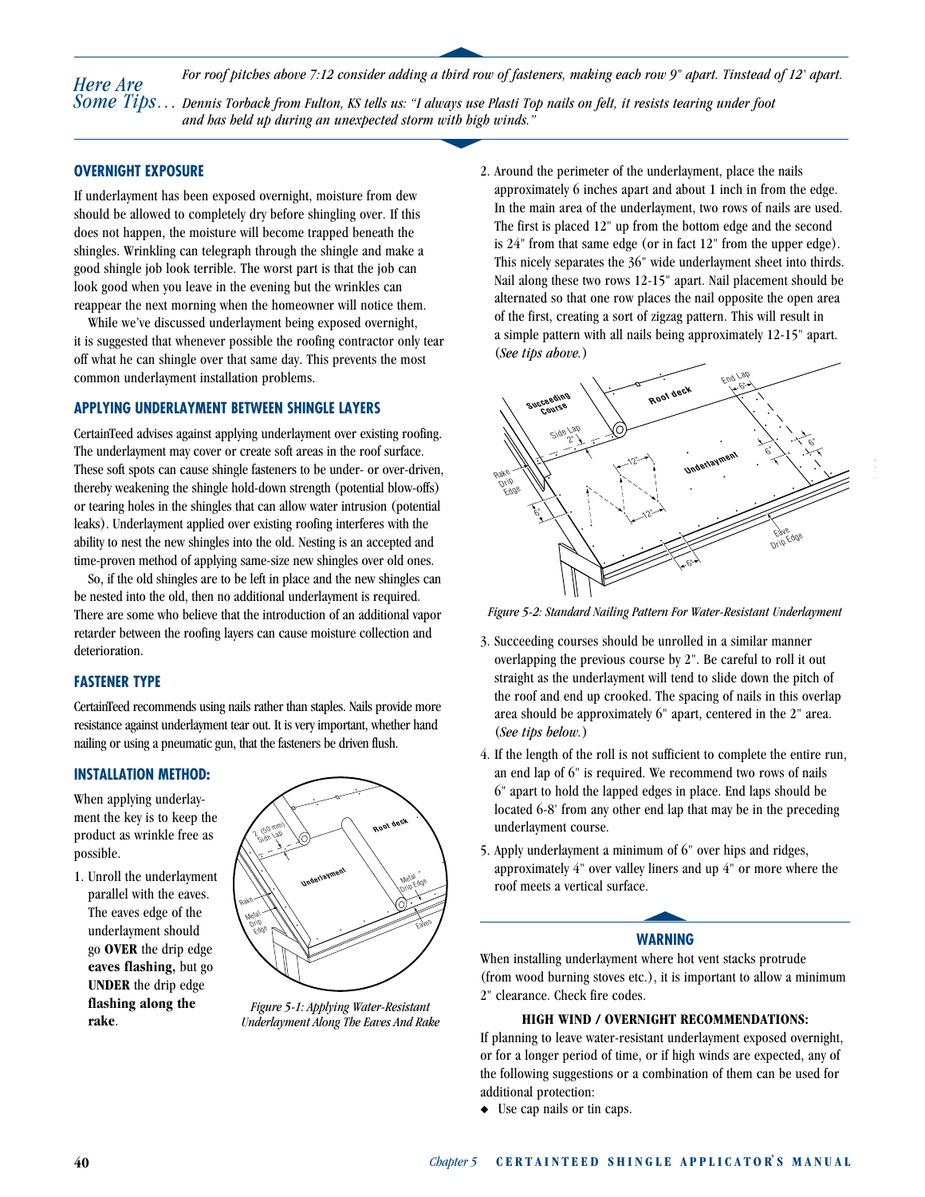*For roof pitches above 7:12 consider adding a third row of fasteners, making each row 9" apart. Tinstead of 12' apart. Dennis Torback from Fulton, KS tells us: "I always use Plasti Top nails on felt, it resists tearing under foot Some Tips… SOME 11ps...* Dennis Torback from Fution, KS letts us: 1 aways use Plasti 10<br>and has held up during an unexpected storm with high winds." *Here Are* 

s

#### **OVERNIGHT EXPOSURE**

If underlayment has been exposed overnight, moisture from dew should be allowed to completely dry before shingling over. If this does not happen, the moisture will become trapped beneath the shingles. Wrinkling can telegraph through the shingle and make a good shingle job look terrible. The worst part is that the job can look good when you leave in the evening but the wrinkles can reappear the next morning when the homeowner will notice them.

While we've discussed underlayment being exposed overnight, it is suggested that whenever possible the roofing contractor only tear off what he can shingle over that same day. This prevents the most common underlayment installation problems.

#### **APPLYING UNDERLAYMENT BETWEEN SHINGLE LAYERS**

CertainTeed advises against applying underlayment over existing roofing. The underlayment may cover or create soft areas in the roof surface. These soft spots can cause shingle fasteners to be under- or over-driven, thereby weakening the shingle hold-down strength (potential blow-offs) or tearing holes in the shingles that can allow water intrusion (potential leaks). Underlayment applied over existing roofing interferes with the ability to nest the new shingles into the old. Nesting is an accepted and time-proven method of applying same-size new shingles over old ones.

So, if the old shingles are to be left in place and the new shingles can be nested into the old, then no additional underlayment is required. There are some who believe that the introduction of an additional vapor retarder between the roofing layers can cause moisture collection and deterioration.

#### **FASTENER TYPE**

CertainTeed recommends using nails rather than staples. Nails provide more resistance against underlayment tear out. It is very important, whether hand nailing or using a pneumatic gun, that the fasteners be driven flush.

#### **INSTALLATION METHOD:**

When applying underlayment the key is to keep the product as wrinkle free as possible.

1. Unroll the underlayment parallel with the eaves. The eaves edge of the underlayment should go **OVER** the drip edge **eaves flashing,** but go **UNDER** the drip edge **flashing along the rake**.



*Figure 5-1: Applying Water-Resistant Underlayment Along The Eaves And Rake* 

2. Around the perimeter of the underlayment, place the nails approximately 6 inches apart and about 1 inch in from the edge. In the main area of the underlayment, two rows of nails are used. The first is placed 12" up from the bottom edge and the second is 24" from that same edge (or in fact 12" from the upper edge). This nicely separates the 36" wide underlayment sheet into thirds. Nail along these two rows 12-15" apart. Nail placement should be alternated so that one row places the nail opposite the open area of the first, creating a sort of zigzag pattern. This will result in a simple pattern with all nails being approximately 12-15" apart. (*See tips above.*)



*Figure 5-2: Standard Nailing Pattern For Water-Resistant Underlayment*

- 3. Succeeding courses should be unrolled in a similar manner overlapping the previous course by 2". Be careful to roll it out straight as the underlayment will tend to slide down the pitch of the roof and end up crooked. The spacing of nails in this overlap area should be approximately 6" apart, centered in the 2" area. (*See tips below.*)
- 4. If the length of the roll is not sufficient to complete the entire run, an end lap of 6" is required. We recommend two rows of nails 6" apart to hold the lapped edges in place. End laps should be located 6-8' from any other end lap that may be in the preceding underlayment course.
- 5. Apply underlayment a minimum of 6" over hips and ridges, approximately 4" over valley liners and up 4" or more where the roof meets a vertical surface.  $\overline{e}$ .

#### **WARNING**

When installing underlayment where hot vent stacks protrude (from wood burning stoves etc.), it is important to allow a minimum 2" clearance. Check fire codes.

#### **HIGH WIND / OVERNIGHT RECOMMENDATIONS:**

If planning to leave water-resistant underlayment exposed overnight, or for a longer period of time, or if high winds are expected, any of the following suggestions or a combination of them can be used for additional protection:

 $\bullet$  Use cap nails or tin caps.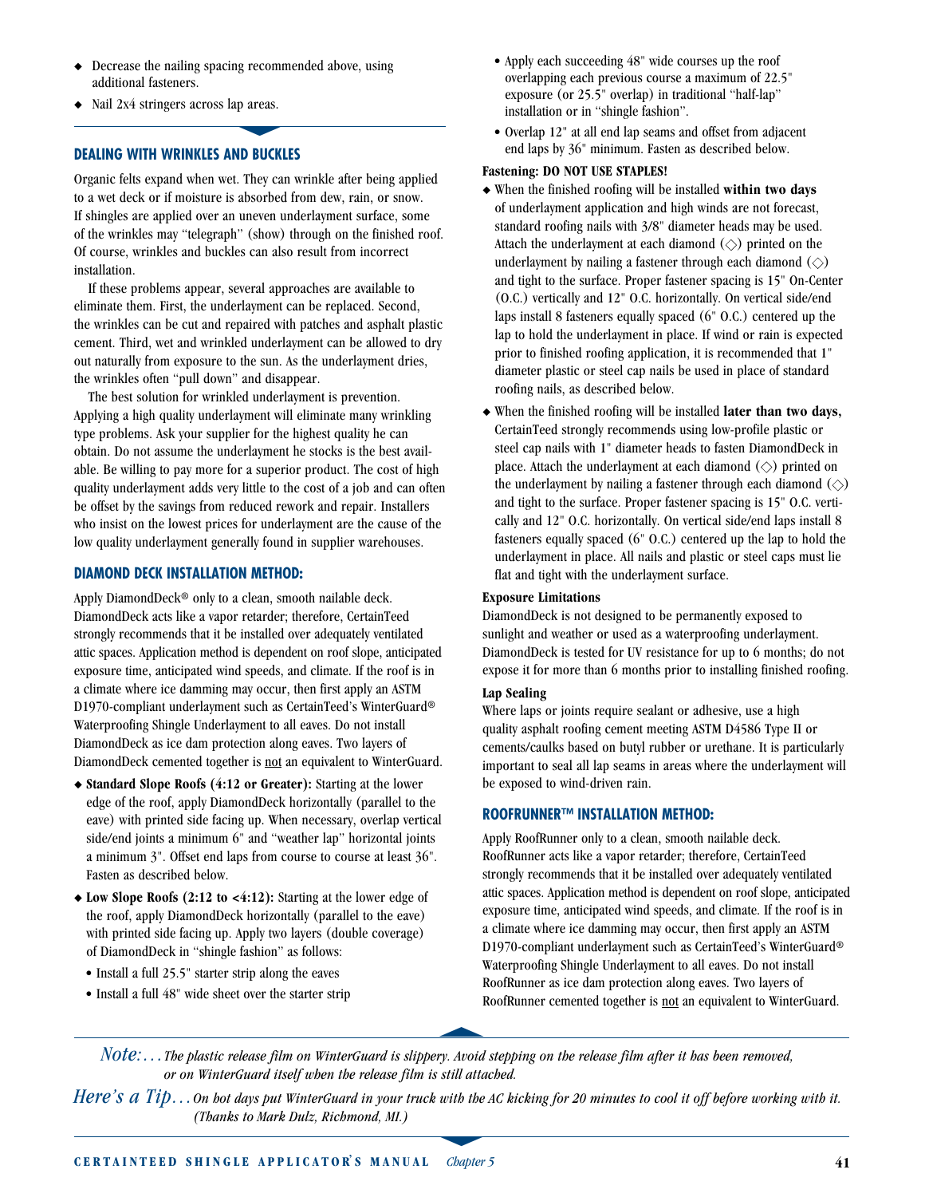- Decrease the nailing spacing recommended above, using additional fasteners.
- Nail 2x4 stringers across lap areas.

#### **DEALING WITH WRINKLES AND BUCKLES**

Organic felts expand when wet. They can wrinkle after being applied to a wet deck or if moisture is absorbed from dew, rain, or snow. If shingles are applied over an uneven underlayment surface, some of the wrinkles may "telegraph" (show) through on the finished roof. Of course, wrinkles and buckles can also result from incorrect installation.

If these problems appear, several approaches are available to eliminate them. First, the underlayment can be replaced. Second, the wrinkles can be cut and repaired with patches and asphalt plastic cement. Third, wet and wrinkled underlayment can be allowed to dry out naturally from exposure to the sun. As the underlayment dries, the wrinkles often "pull down" and disappear.

The best solution for wrinkled underlayment is prevention. Applying a high quality underlayment will eliminate many wrinkling type problems. Ask your supplier for the highest quality he can obtain. Do not assume the underlayment he stocks is the best available. Be willing to pay more for a superior product. The cost of high quality underlayment adds very little to the cost of a job and can often be offset by the savings from reduced rework and repair. Installers who insist on the lowest prices for underlayment are the cause of the low quality underlayment generally found in supplier warehouses.

#### **DIAMOND DECK INSTALLATION METHOD:**

Apply DiamondDeck® only to a clean, smooth nailable deck. DiamondDeck acts like a vapor retarder; therefore, CertainTeed strongly recommends that it be installed over adequately ventilated attic spaces. Application method is dependent on roof slope, anticipated exposure time, anticipated wind speeds, and climate. If the roof is in a climate where ice damming may occur, then first apply an ASTM D1970-compliant underlayment such as CertainTeed's WinterGuard® Waterproofing Shingle Underlayment to all eaves. Do not install DiamondDeck as ice dam protection along eaves. Two layers of DiamondDeck cemented together is not an equivalent to WinterGuard.

- ◆ Standard Slope Roofs (4:12 or Greater): Starting at the lower edge of the roof, apply DiamondDeck horizontally (parallel to the eave) with printed side facing up. When necessary, overlap vertical side/end joints a minimum 6" and "weather lap" horizontal joints a minimum 3". Offset end laps from course to course at least 36". Fasten as described below.
- ◆ Low Slope Roofs (2:12 to <4:12): Starting at the lower edge of the roof, apply DiamondDeck horizontally (parallel to the eave) with printed side facing up. Apply two layers (double coverage) of DiamondDeck in "shingle fashion" as follows:
	- Install a full 25.5" starter strip along the eaves
	- Install a full 48" wide sheet over the starter strip
- Apply each succeeding 48" wide courses up the roof overlapping each previous course a maximum of 22.5" exposure (or 25.5" overlap) in traditional "half-lap" installation or in "shingle fashion".
- Overlap 12" at all end lap seams and offset from adjacent end laps by 36" minimum. Fasten as described below.

#### **Fastening: DO NOT USE STAPLES!**

- u When the finished roofing will be installed **within two days** of underlayment application and high winds are not forecast, standard roofing nails with 3/8" diameter heads may be used. Attach the underlayment at each diamond  $(\diamond)$  printed on the underlayment by nailing a fastener through each diamond  $(\diamondsuit)$ and tight to the surface. Proper fastener spacing is 15" On-Center (O.C.) vertically and 12" O.C. horizontally. On vertical side/end laps install 8 fasteners equally spaced (6" O.C.) centered up the lap to hold the underlayment in place. If wind or rain is expected prior to finished roofing application, it is recommended that 1" diameter plastic or steel cap nails be used in place of standard roofing nails, as described below.
- u When the finished roofing will be installed **later than two days,** CertainTeed strongly recommends using low-profile plastic or steel cap nails with 1" diameter heads to fasten DiamondDeck in place. Attach the underlayment at each diamond  $(\diamondsuit)$  printed on the underlayment by nailing a fastener through each diamond  $(\diamondsuit)$ and tight to the surface. Proper fastener spacing is 15" O.C. vertically and 12" O.C. horizontally. On vertical side/end laps install 8 fasteners equally spaced (6" O.C.) centered up the lap to hold the underlayment in place. All nails and plastic or steel caps must lie flat and tight with the underlayment surface.

#### **Exposure Limitations**

DiamondDeck is not designed to be permanently exposed to sunlight and weather or used as a waterproofing underlayment. DiamondDeck is tested for UV resistance for up to 6 months; do not expose it for more than 6 months prior to installing finished roofing.

#### **Lap Sealing**

Where laps or joints require sealant or adhesive, use a high quality asphalt roofing cement meeting ASTM D4586 Type II or cements/caulks based on butyl rubber or urethane. It is particularly important to seal all lap seams in areas where the underlayment will be exposed to wind-driven rain.

#### **ROOFRUNNER™ INSTALLATION METHOD:**

Apply RoofRunner only to a clean, smooth nailable deck. RoofRunner acts like a vapor retarder; therefore, CertainTeed strongly recommends that it be installed over adequately ventilated attic spaces. Application method is dependent on roof slope, anticipated exposure time, anticipated wind speeds, and climate. If the roof is in a climate where ice damming may occur, then first apply an ASTM D1970-compliant underlayment such as CertainTeed's WinterGuard® Waterproofing Shingle Underlayment to all eaves. Do not install RoofRunner as ice dam protection along eaves. Two layers of RoofRunner cemented together is not an equivalent to WinterGuard. s

*Note:…The plastic release film on WinterGuard is slippery. Avoid stepping on the release film after it has been removed, or on WinterGuard itself when the release film is still attached.*

*Here's a Tip…On hot days put WinterGuard in your truck with the AC kicking for 20 minutes to cool it off before working with it. (Thanks to Mark Dulz, Richmond, MI.)*  $\frac{u}{u}$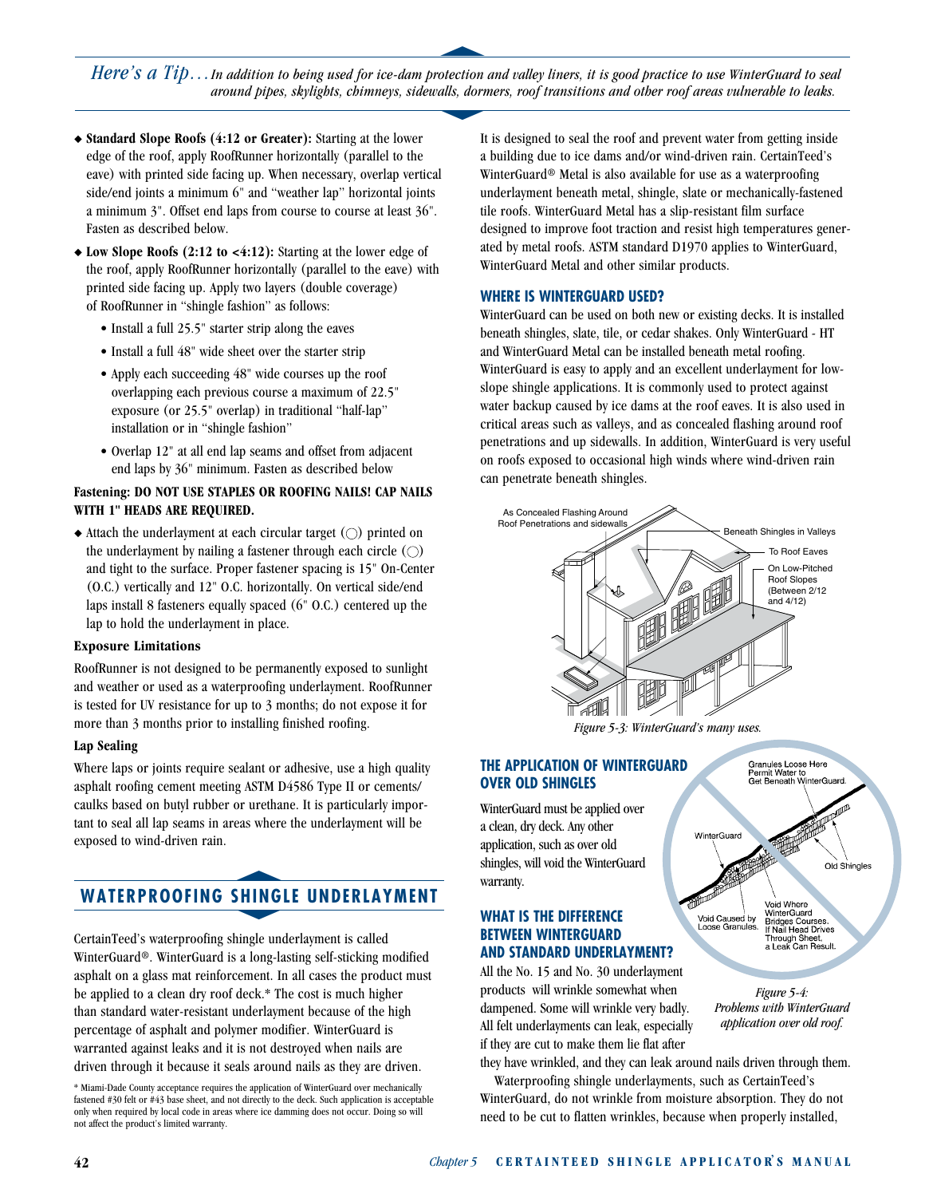s *Here's a Tip...In addition to being used for ice-dam protection and valley liners, it is good practice to use WinterGuard to seal around pipes, skylights, chimneys, sidewalls, dormers, roof transitions and other roof areas vulnerable to leaks.* t

- ◆ **Standard Slope Roofs (4:12 or Greater):** Starting at the lower edge of the roof, apply RoofRunner horizontally (parallel to the eave) with printed side facing up. When necessary, overlap vertical side/end joints a minimum 6" and "weather lap" horizontal joints a minimum 3". Offset end laps from course to course at least 36". Fasten as described below.
- $\triangle$  **Low Slope Roofs (2:12 to <4:12):** Starting at the lower edge of the roof, apply RoofRunner horizontally (parallel to the eave) with printed side facing up. Apply two layers (double coverage) of RoofRunner in "shingle fashion" as follows:
	- Install a full 25.5" starter strip along the eaves
	- Install a full 48" wide sheet over the starter strip
	- Apply each succeeding 48" wide courses up the roof overlapping each previous course a maximum of 22.5" exposure (or 25.5" overlap) in traditional "half-lap" installation or in "shingle fashion"
	- Overlap 12" at all end lap seams and offset from adjacent end laps by 36" minimum. Fasten as described below

#### **Fastening: DO NOT USE STAPLES OR ROOFING NAILS! CAP NAILS WITH 1" HEADS ARE REQUIRED.**

 $\triangle$  Attach the underlayment at each circular target ( $\bigcirc$ ) printed on the underlayment by nailing a fastener through each circle  $\circ$ ) and tight to the surface. Proper fastener spacing is 15" On-Center (O.C.) vertically and 12" O.C. horizontally. On vertical side/end laps install 8 fasteners equally spaced (6" O.C.) centered up the lap to hold the underlayment in place.

#### **Exposure Limitations**

RoofRunner is not designed to be permanently exposed to sunlight and weather or used as a waterproofing underlayment. RoofRunner is tested for UV resistance for up to 3 months; do not expose it for more than 3 months prior to installing finished roofing.

#### **Lap Sealing**

Where laps or joints require sealant or adhesive, use a high quality asphalt roofing cement meeting ASTM D4586 Type II or cements/ caulks based on butyl rubber or urethane. It is particularly important to seal all lap seams in areas where the underlayment will be exposed to wind-driven rain. s

## **WATERPROOFING SHINGLE UNDERLAYMENT** SHING

CertainTeed's waterproofing shingle underlayment is called WinterGuard®. WinterGuard is a long-lasting self-sticking modified asphalt on a glass mat reinforcement. In all cases the product must be applied to a clean dry roof deck.\* The cost is much higher than standard water-resistant underlayment because of the high percentage of asphalt and polymer modifier. WinterGuard is warranted against leaks and it is not destroyed when nails are driven through it because it seals around nails as they are driven.

\* Miami-Dade County acceptance requires the application of WinterGuard over mechanically fastened #30 felt or #43 base sheet, and not directly to the deck. Such application is acceptable only when required by local code in areas where ice damming does not occur. Doing so will not affect the product's limited warranty.

It is designed to seal the roof and prevent water from getting inside a building due to ice dams and/or wind-driven rain. CertainTeed's WinterGuard® Metal is also available for use as a waterproofing underlayment beneath metal, shingle, slate or mechanically-fastened tile roofs. WinterGuard Metal has a slip-resistant film surface designed to improve foot traction and resist high temperatures generated by metal roofs. ASTM standard D1970 applies to WinterGuard, WinterGuard Metal and other similar products.

#### **WHERE IS WINTERGUARD USED?**

WinterGuard can be used on both new or existing decks. It is installed beneath shingles, slate, tile, or cedar shakes. Only WinterGuard - HT and WinterGuard Metal can be installed beneath metal roofing. WinterGuard is easy to apply and an excellent underlayment for lowslope shingle applications. It is commonly used to protect against water backup caused by ice dams at the roof eaves. It is also used in critical areas such as valleys, and as concealed flashing around roof penetrations and up sidewalls. In addition, WinterGuard is very useful on roofs exposed to occasional high winds where wind-driven rain can penetrate beneath shingles.



*Figure 5-3: WinterGuard's many uses.*

WinterGuard

Void Caused by<br>Loose Granules.

#### **THE APPLICATION OF WINTERGUARD OVER OLD SHINGLES**

WinterGuard must be applied over a clean, dry deck. Any other application, such as over old shingles, will void the WinterGuard warranty.

#### **WHAT IS THE DIFFERENCE BETWEEN WINTERGUARD AND STANDARD UNDERLAYMENT?**

All the No. 15 and No. 30 underlayment products will wrinkle somewhat when dampened. Some will wrinkle very badly. All felt underlayments can leak, especially if they are cut to make them lie flat after



Granules Loose Here Permit Water to<br>Get Beneath WinterGuard

₩

Void Where<br>WinterGuard

**Bridges Courses.**<br>**If Nail Head Drives** Through Sheet,<br>a Leak Can Result.

Old Shingles

they have wrinkled, and they can leak around nails driven through them.

Waterproofing shingle underlayments, such as CertainTeed's WinterGuard, do not wrinkle from moisture absorption. They do not need to be cut to flatten wrinkles, because when properly installed,

**42** *Chapter 5* **CERTAINTEED SHINGLE APPLICATO R' S MANUAL**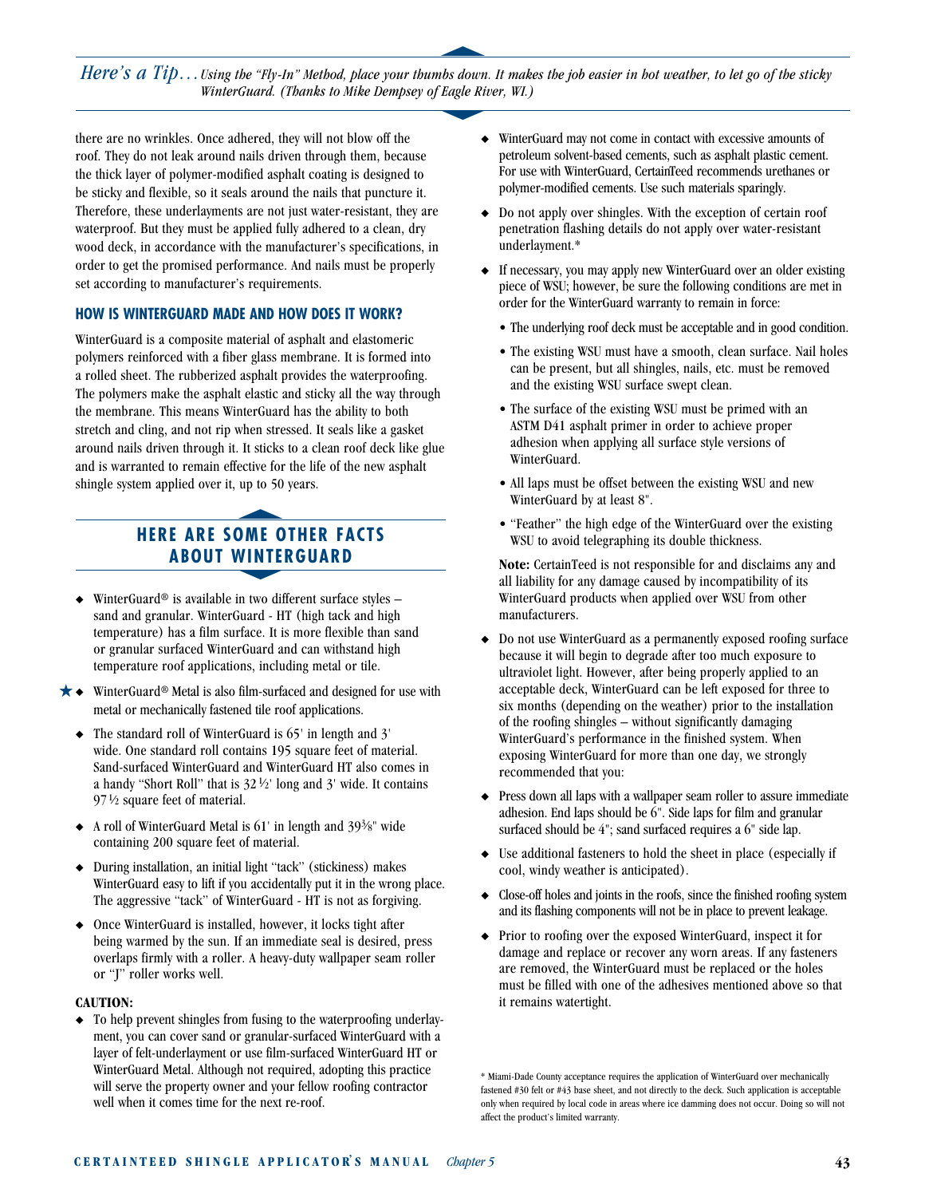*Here's a Tip... Using the "Fly-In" Method, place your thumbs down. It makes the job easier in hot weather, to let go of the sticky* Using the Fiy-In Method, place your thumbs down. It make<br>WinterGuard. (Thanks to Mike Dempsey of Eagle River, WI.)

s

there are no wrinkles. Once adhered, they will not blow off the roof. They do not leak around nails driven through them, because the thick layer of polymer-modified asphalt coating is designed to be sticky and flexible, so it seals around the nails that puncture it. Therefore, these underlayments are not just water-resistant, they are waterproof. But they must be applied fully adhered to a clean, dry wood deck, in accordance with the manufacturer's specifications, in order to get the promised performance. And nails must be properly set according to manufacturer's requirements.

#### **HOW IS WINTERGUARD MADE AND HOW DOES IT WORK?**

WinterGuard is a composite material of asphalt and elastomeric polymers reinforced with a fiber glass membrane. It is formed into a rolled sheet. The rubberized asphalt provides the waterproofing. The polymers make the asphalt elastic and sticky all the way through the membrane. This means WinterGuard has the ability to both stretch and cling, and not rip when stressed. It seals like a gasket around nails driven through it. It sticks to a clean roof deck like glue and is warranted to remain effective for the life of the new asphalt shingle system applied over it, up to 50 years.

#### **HERE ARE SOME OTHER FACTS ABOUT WINTERGUARD SWE O**<br>**WINTE**

- $\triangleq$  WinterGuard<sup>®</sup> is available in two different surface styles sand and granular. WinterGuard - HT (high tack and high temperature) has a film surface. It is more flexible than sand or granular surfaced WinterGuard and can withstand high temperature roof applications, including metal or tile.
- $\bigstar\bullet\;\;$  WinterGuard® Metal is also film-surfaced and designed for use with metal or mechanically fastened tile roof applications.
	- $\bullet$  The standard roll of WinterGuard is 65' in length and 3' wide. One standard roll contains 195 square feet of material. Sand-surfaced WinterGuard and WinterGuard HT also comes in a handy "Short Roll" that is  $32\frac{1}{2}$ " long and 3' wide. It contains  $97\frac{1}{2}$  square feet of material.
	- $\triangle$  A roll of WinterGuard Metal is 61' in length and 39<sup>3</sup>/<sub>8</sub>" wide containing 200 square feet of material.
	- ◆ During installation, an initial light "tack" (stickiness) makes WinterGuard easy to lift if you accidentally put it in the wrong place. The aggressive "tack" of WinterGuard - HT is not as forgiving.
	- Once WinterGuard is installed, however, it locks tight after being warmed by the sun. If an immediate seal is desired, press overlaps firmly with a roller. A heavy-duty wallpaper seam roller or "J" roller works well.

#### **CAUTION:**

 $\bullet$  To help prevent shingles from fusing to the waterproofing underlayment, you can cover sand or granular-surfaced WinterGuard with a layer of felt-underlayment or use film-surfaced WinterGuard HT or WinterGuard Metal. Although not required, adopting this practice will serve the property owner and your fellow roofing contractor well when it comes time for the next re-roof.

- WinterGuard may not come in contact with excessive amounts of petroleum solvent-based cements, such as asphalt plastic cement. For use with WinterGuard, CertainTeed recommends urethanes or polymer-modified cements. Use such materials sparingly.
- $\bullet$  Do not apply over shingles. With the exception of certain roof penetration flashing details do not apply over water-resistant underlayment.\*
- If necessary, you may apply new WinterGuard over an older existing piece of WSU; however, be sure the following conditions are met in order for the WinterGuard warranty to remain in force:
	- The underlying roof deck must be acceptable and in good condition.
	- The existing WSU must have a smooth, clean surface. Nail holes can be present, but all shingles, nails, etc. must be removed and the existing WSU surface swept clean.
	- The surface of the existing WSU must be primed with an ASTM D41 asphalt primer in order to achieve proper adhesion when applying all surface style versions of WinterGuard.
	- All laps must be offset between the existing WSU and new WinterGuard by at least 8".
	- "Feather" the high edge of the WinterGuard over the existing WSU to avoid telegraphing its double thickness.

**Note:** CertainTeed is not responsible for and disclaims any and all liability for any damage caused by incompatibility of its WinterGuard products when applied over WSU from other manufacturers.

- Do not use WinterGuard as a permanently exposed roofing surface because it will begin to degrade after too much exposure to ultraviolet light. However, after being properly applied to an acceptable deck, WinterGuard can be left exposed for three to six months (depending on the weather) prior to the installation of the roofing shingles – without significantly damaging WinterGuard's performance in the finished system. When exposing WinterGuard for more than one day, we strongly recommended that you:
- Press down all laps with a wallpaper seam roller to assure immediate adhesion. End laps should be 6". Side laps for film and granular surfaced should be 4"; sand surfaced requires a 6" side lap.
- $\bullet$  Use additional fasteners to hold the sheet in place (especially if cool, windy weather is anticipated).
- $\bullet$  Close-off holes and joints in the roofs, since the finished roofing system and its flashing components will not be in place to prevent leakage.
- $\blacklozenge$  Prior to roofing over the exposed WinterGuard, inspect it for damage and replace or recover any worn areas. If any fasteners are removed, the WinterGuard must be replaced or the holes must be filled with one of the adhesives mentioned above so that it remains watertight.

\* Miami-Dade County acceptance requires the application of WinterGuard over mechanically fastened #30 felt or #43 base sheet, and not directly to the deck. Such application is acceptable only when required by local code in areas where ice damming does not occur. Doing so will not affect the product's limited warranty.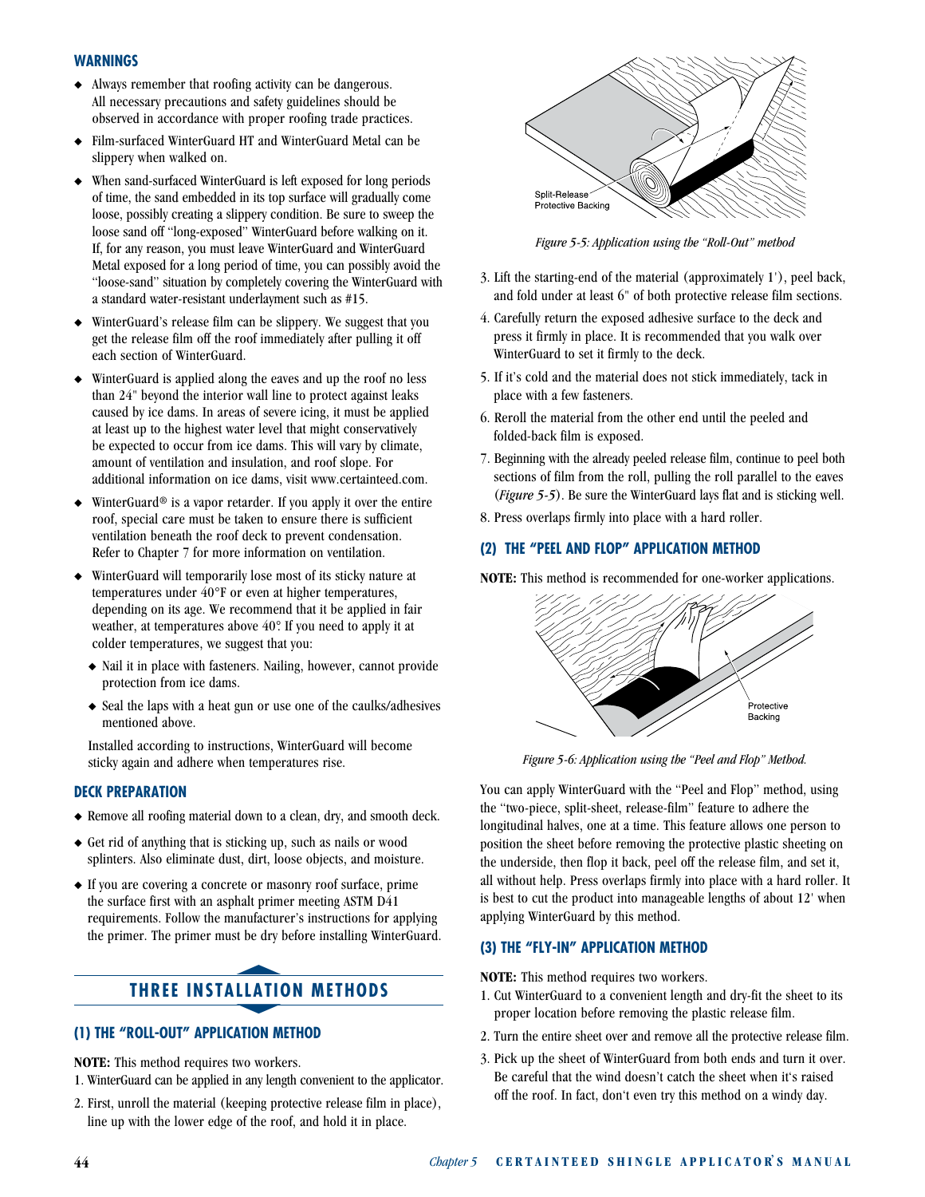#### **WARNINGS**

- $\triangleleft$  Always remember that roofing activity can be dangerous. All necessary precautions and safety guidelines should be observed in accordance with proper roofing trade practices.
- Film-surfaced WinterGuard HT and WinterGuard Metal can be slippery when walked on.
- When sand-surfaced WinterGuard is left exposed for long periods of time, the sand embedded in its top surface will gradually come loose, possibly creating a slippery condition. Be sure to sweep the loose sand off "long-exposed" WinterGuard before walking on it. If, for any reason, you must leave WinterGuard and WinterGuard Metal exposed for a long period of time, you can possibly avoid the "loose-sand" situation by completely covering the WinterGuard with a standard water-resistant underlayment such as #15.
- WinterGuard's release film can be slippery. We suggest that you get the release film off the roof immediately after pulling it off each section of WinterGuard.
- WinterGuard is applied along the eaves and up the roof no less than 24" beyond the interior wall line to protect against leaks caused by ice dams. In areas of severe icing, it must be applied at least up to the highest water level that might conservatively be expected to occur from ice dams. This will vary by climate, amount of ventilation and insulation, and roof slope. For additional information on ice dams, visit www.certainteed.com.
- $\triangle$  WinterGuard<sup>®</sup> is a vapor retarder. If you apply it over the entire roof, special care must be taken to ensure there is sufficient ventilation beneath the roof deck to prevent condensation. Refer to Chapter 7 for more information on ventilation.
- WinterGuard will temporarily lose most of its sticky nature at temperatures under 40°F or even at higher temperatures, depending on its age. We recommend that it be applied in fair weather, at temperatures above 40°. If you need to apply it at colder temperatures, we suggest that you:
	- $\blacklozenge$  Nail it in place with fasteners. Nailing, however, cannot provide protection from ice dams.
	- $\triangle$  Seal the laps with a heat gun or use one of the caulks/adhesives mentioned above.

Installed according to instructions, WinterGuard will become sticky again and adhere when temperatures rise.

#### **DECK PREPARATION**

- $\blacklozenge$  Remove all roofing material down to a clean, dry, and smooth deck.
- $\triangle$  Get rid of anything that is sticking up, such as nails or wood splinters. Also eliminate dust, dirt, loose objects, and moisture.
- $\bullet$  If you are covering a concrete or masonry roof surface, prime the surface first with an asphalt primer meeting ASTM D41 requirements. Follow the manufacturer's instructions for applying the primer. The primer must be dry before installing WinterGuard.

## **THREE INSTALLATION METHODS** LLATI

#### **(1) THE "ROLL-OUT" APPLICATION METHOD**

**NOTE:** This method requires two workers.

- 1. WinterGuard can be applied in any length convenient to the applicator.
- 2. First, unroll the material (keeping protective release film in place), line up with the lower edge of the roof, and hold it in place.



*Figure 5-5: Application using the "Roll-Out" method*

- 3. Lift the starting-end of the material (approximately 1'), peel back, and fold under at least 6" of both protective release film sections.
- 4. Carefully return the exposed adhesive surface to the deck and press it firmly in place. It is recommended that you walk over WinterGuard to set it firmly to the deck.
- 5. If it's cold and the material does not stick immediately, tack in place with a few fasteners.
- 6. Reroll the material from the other end until the peeled and folded-back film is exposed.
- 7. Beginning with the already peeled release film, continue to peel both sections of film from the roll, pulling the roll parallel to the eaves (*Figure 5-5*). Be sure the WinterGuard lays flat and is sticking well.
- 8. Press overlaps firmly into place with a hard roller.

#### **(2) THE "PEEL AND FLOP" APPLICATION METHOD**

**NOTE:** This method is recommended for one-worker applications.



*Figure 5-6: Application using the "Peel and Flop" Method.*

You can apply WinterGuard with the "Peel and Flop" method, using the "two-piece, split-sheet, release-film" feature to adhere the longitudinal halves, one at a time. This feature allows one person to position the sheet before removing the protective plastic sheeting on the underside, then flop it back, peel off the release film, and set it, all without help. Press overlaps firmly into place with a hard roller. It is best to cut the product into manageable lengths of about 12' when applying WinterGuard by this method.

#### **(3) THE "FLY-IN" APPLICATION METHOD**

**NOTE:** This method requires two workers.

- 1. Cut WinterGuard to a convenient length and dry-fit the sheet to its proper location before removing the plastic release film.
- 2. Turn the entire sheet over and remove all the protective release film.
- 3. Pick up the sheet of WinterGuard from both ends and turn it over. Be careful that the wind doesn't catch the sheet when it's raised off the roof. In fact, don't even try this method on a windy day.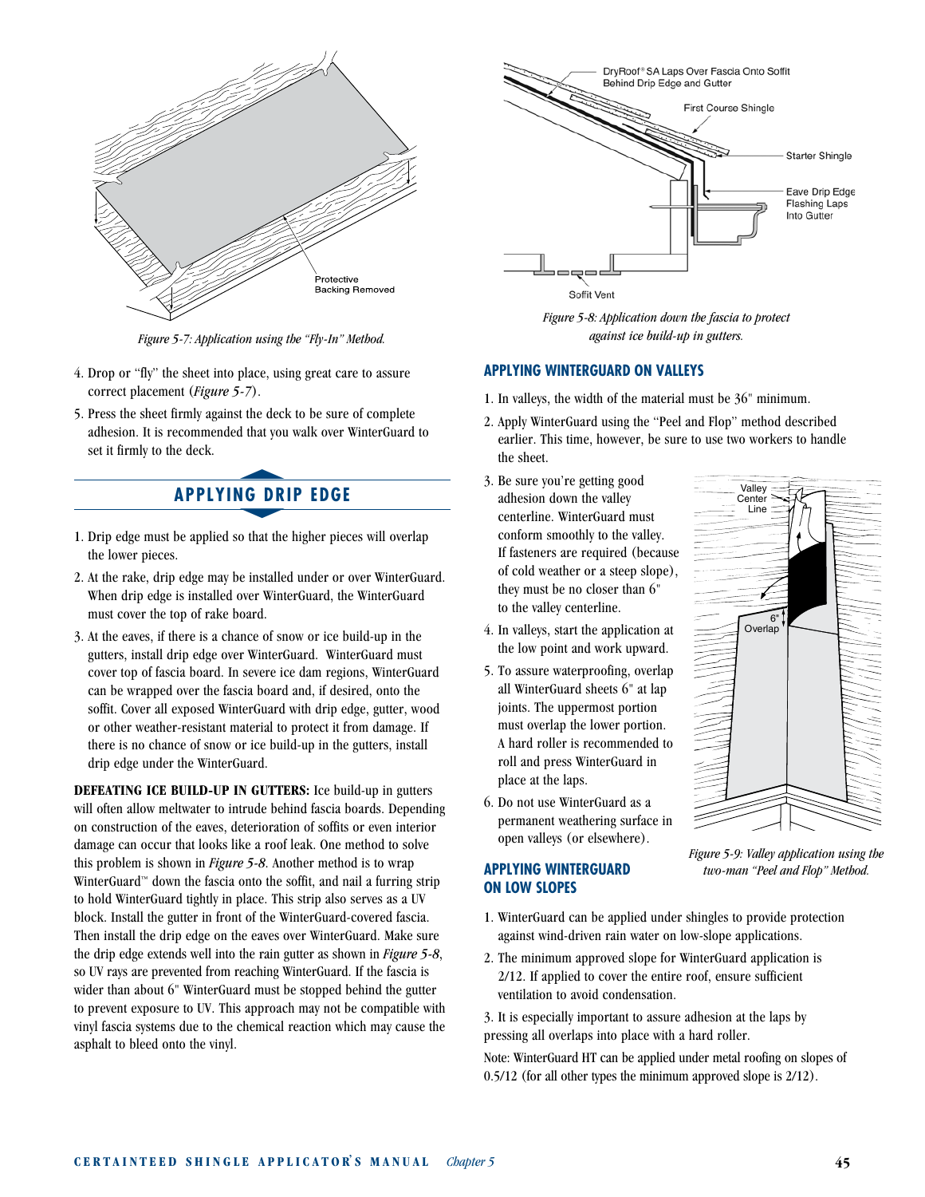

*Figure 5-7: Application using the "Fly-In" Method.*

- 4. Drop or "fly" the sheet into place, using great care to assure correct placement (*Figure 5-7*).
- 5. Press the sheet firmly against the deck to be sure of complete adhesion. It is recommended that you walk over WinterGuard to set it firmly to the deck. set it firmly to the deck.

## **APPLYING DRIP EDGE** NG DR

- 1. Drip edge must be applied so that the higher pieces will overlap the lower pieces.
- 2. At the rake, drip edge may be installed under or over WinterGuard. When drip edge is installed over WinterGuard, the WinterGuard must cover the top of rake board.
- 3. At the eaves, if there is a chance of snow or ice build-up in the gutters, install drip edge over WinterGuard. WinterGuard must cover top of fascia board. In severe ice dam regions, WinterGuard can be wrapped over the fascia board and, if desired, onto the soffit. Cover all exposed WinterGuard with drip edge, gutter, wood or other weather-resistant material to protect it from damage. If there is no chance of snow or ice build-up in the gutters, install drip edge under the WinterGuard.

**DEFEATING ICE BUILD-UP IN GUTTERS:** Ice build-up in gutters will often allow meltwater to intrude behind fascia boards. Depending on construction of the eaves, deterioration of soffits or even interior damage can occur that looks like a roof leak. One method to solve this problem is shown in *Figure 5-8*. Another method is to wrap WinterGuard™ down the fascia onto the soffit, and nail a furring strip to hold WinterGuard tightly in place. This strip also serves as a UV block. Install the gutter in front of the WinterGuard-covered fascia. Then install the drip edge on the eaves over WinterGuard. Make sure the drip edge extends well into the rain gutter as shown in *Figure 5-8*, so UV rays are prevented from reaching WinterGuard. If the fascia is wider than about 6" WinterGuard must be stopped behind the gutter to prevent exposure to UV. This approach may not be compatible with vinyl fascia systems due to the chemical reaction which may cause the asphalt to bleed onto the vinyl.



*Figure 5-8: Application down the fascia to protect against ice build-up in gutters.*

#### **APPLYING WINTERGUARD ON VALLEYS**

- 1. In valleys, the width of the material must be 36" minimum.
- 2. Apply WinterGuard using the "Peel and Flop" method described earlier. This time, however, be sure to use two workers to handle the sheet.

**Valley** Center Line

> 6" Overlap

- 3. Be sure you're getting good adhesion down the valley centerline. WinterGuard must conform smoothly to the valley. If fasteners are required (because of cold weather or a steep slope), they must be no closer than 6" to the valley centerline.
- 4. In valleys, start the application at the low point and work upward.
- 5. To assure waterproofing, overlap all WinterGuard sheets 6" at lap joints. The uppermost portion must overlap the lower portion. A hard roller is recommended to roll and press WinterGuard in place at the laps.
- 6. Do not use WinterGuard as a permanent weathering surface in open valleys (or elsewhere).

#### **APPLYING WINTERGUARD ON LOW SLOPES**



- 1. WinterGuard can be applied under shingles to provide protection against wind-driven rain water on low-slope applications.
- 2. The minimum approved slope for WinterGuard application is 2/12. If applied to cover the entire roof, ensure sufficient ventilation to avoid condensation.

3. It is especially important to assure adhesion at the laps by pressing all overlaps into place with a hard roller.

Note: WinterGuard HT can be applied under metal roofing on slopes of 0.5/12 (for all other types the minimum approved slope is 2/12).